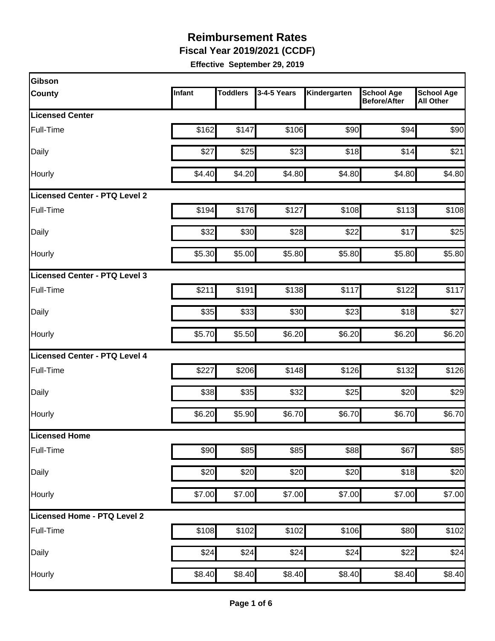**Fiscal Year 2019/2021 (CCDF)**

| Gibson                        |        |                 |             |              |                                          |                                       |
|-------------------------------|--------|-----------------|-------------|--------------|------------------------------------------|---------------------------------------|
| County                        | Infant | <b>Toddlers</b> | 3-4-5 Years | Kindergarten | <b>School Age</b><br><b>Before/After</b> | <b>School Age</b><br><b>All Other</b> |
| <b>Licensed Center</b>        |        |                 |             |              |                                          |                                       |
| Full-Time                     | \$162  | \$147           | \$106       | \$90         | \$94                                     | \$90                                  |
| Daily                         | \$27   | \$25            | \$23        | \$18         | \$14                                     | \$21                                  |
| Hourly                        | \$4.40 | \$4.20          | \$4.80      | \$4.80       | \$4.80                                   | \$4.80                                |
| Licensed Center - PTQ Level 2 |        |                 |             |              |                                          |                                       |
| Full-Time                     | \$194  | \$176           | \$127       | \$108        | \$113                                    | \$108                                 |
| Daily                         | \$32   | \$30            | \$28        | \$22         | \$17                                     | \$25                                  |
| Hourly                        | \$5.30 | \$5.00          | \$5.80      | \$5.80       | \$5.80                                   | \$5.80                                |
| Licensed Center - PTQ Level 3 |        |                 |             |              |                                          |                                       |
| Full-Time                     | \$211  | \$191           | \$138       | \$117        | \$122                                    | \$117                                 |
| Daily                         | \$35   | \$33            | \$30        | \$23         | \$18                                     | \$27                                  |
| Hourly                        | \$5.70 | \$5.50          | \$6.20      | \$6.20       | \$6.20                                   | \$6.20                                |
| Licensed Center - PTQ Level 4 |        |                 |             |              |                                          |                                       |
| Full-Time                     | \$227  | \$206           | \$148       | \$126        | \$132                                    | \$126                                 |
| Daily                         | \$38   | \$35            | \$32        | \$25         | \$20                                     | \$29                                  |
| Hourly                        | \$6.20 | \$5.90          | \$6.70      | \$6.70       | \$6.70                                   | \$6.70                                |
| Licensed Home                 |        |                 |             |              |                                          |                                       |
| Full-Time                     | \$90   | \$85            | \$85        | \$88         | \$67                                     | \$85                                  |
| Daily                         | \$20   | \$20            | \$20        | \$20         | \$18                                     | \$20                                  |
| Hourly                        | \$7.00 | \$7.00          | \$7.00      | \$7.00       | \$7.00                                   | \$7.00                                |
| Licensed Home - PTQ Level 2   |        |                 |             |              |                                          |                                       |
| Full-Time                     | \$108  | \$102           | \$102       | \$106        | \$80                                     | \$102                                 |
| Daily                         | \$24   | \$24            | \$24        | \$24         | \$22                                     | \$24                                  |
| Hourly                        | \$8.40 | \$8.40          | \$8.40      | \$8.40       | \$8.40                                   | \$8.40                                |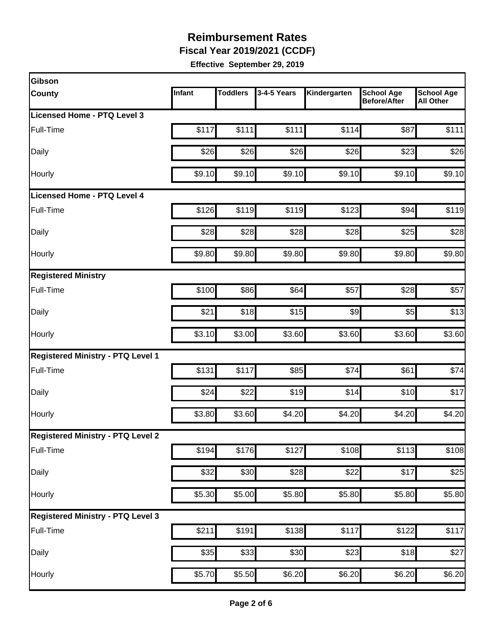**Fiscal Year 2019/2021 (CCDF)**

| Gibson                                   |        |                 |                  |                    |                                          |                                       |
|------------------------------------------|--------|-----------------|------------------|--------------------|------------------------------------------|---------------------------------------|
| <b>County</b>                            | Infant | <b>Toddlers</b> | 3-4-5 Years      | Kindergarten       | <b>School Age</b><br><b>Before/After</b> | <b>School Age</b><br><b>All Other</b> |
| <b>Licensed Home - PTQ Level 3</b>       |        |                 |                  |                    |                                          |                                       |
| Full-Time                                | \$117  | \$111           | \$111            | \$114              | \$87                                     | \$111                                 |
| Daily                                    | \$26   | \$26            | \$26             | \$26               | \$23                                     | \$26                                  |
| Hourly                                   | \$9.10 | \$9.10          | \$9.10           | \$9.10             | \$9.10                                   | \$9.10                                |
| Licensed Home - PTQ Level 4              |        |                 |                  |                    |                                          |                                       |
| Full-Time                                | \$126  | \$119           | \$119            | \$123              | \$94                                     | \$119                                 |
| Daily                                    | \$28   | \$28            | \$28             | \$28               | \$25                                     | \$28                                  |
| Hourly                                   | \$9.80 | \$9.80          | \$9.80           | \$9.80             | \$9.80                                   | \$9.80                                |
| <b>Registered Ministry</b>               |        |                 |                  |                    |                                          |                                       |
| Full-Time                                | \$100  | \$86            | \$64             | \$57               | \$28                                     | \$57                                  |
| Daily                                    | \$21   | \$18            | \$15             | \$9                | \$5                                      | \$13                                  |
| Hourly                                   | \$3.10 | \$3.00          | \$3.60           | \$3.60             | \$3.60                                   | \$3.60                                |
| <b>Registered Ministry - PTQ Level 1</b> |        |                 |                  |                    |                                          |                                       |
| Full-Time                                | \$131  | \$117           | \$85             | \$74               | \$61                                     | \$74                                  |
| Daily                                    | \$24   | \$22            | \$19             | \$14               | \$10                                     | \$17                                  |
| Hourly                                   | \$3.80 | \$3.60          | \$4.20           | \$4.20             | \$4.20                                   | \$4.20                                |
| <b>Registered Ministry - PTQ Level 2</b> |        |                 |                  |                    |                                          |                                       |
| Full-Time                                | \$194  | \$176           | \$127            | \$108              | \$113                                    | \$108                                 |
| Daily                                    | \$32   | \$30            | $\overline{$}28$ | \$22               | \$17                                     | \$25                                  |
| Hourly                                   | \$5.30 | \$5.00          | \$5.80           | \$5.80             | \$5.80                                   | \$5.80                                |
| <b>Registered Ministry - PTQ Level 3</b> |        |                 |                  |                    |                                          |                                       |
| Full-Time                                | \$211  | \$191           | \$138            | \$117              | \$122                                    | \$117                                 |
| Daily                                    | \$35   | \$33            | \$30             | \$23               | \$18                                     | \$27                                  |
| Hourly                                   | \$5.70 | \$5.50          | \$6.20           | $\overline{$6.20}$ | \$6.20                                   | \$6.20                                |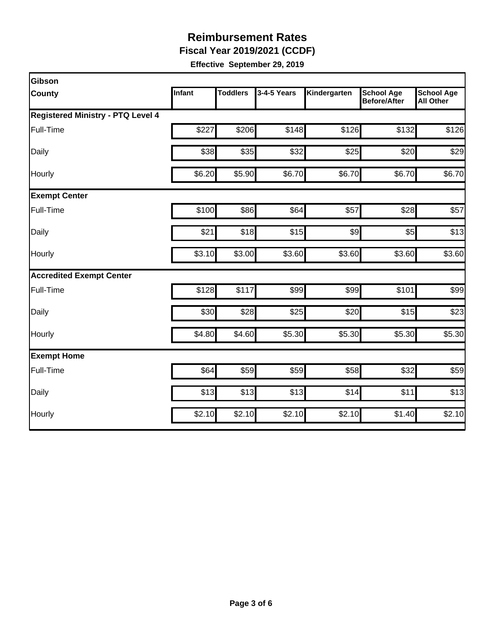**Fiscal Year 2019/2021 (CCDF)**

| Gibson                                   |        |                 |             |              |                                          |                                       |
|------------------------------------------|--------|-----------------|-------------|--------------|------------------------------------------|---------------------------------------|
| <b>County</b>                            | Infant | <b>Toddlers</b> | 3-4-5 Years | Kindergarten | <b>School Age</b><br><b>Before/After</b> | <b>School Age</b><br><b>All Other</b> |
| <b>Registered Ministry - PTQ Level 4</b> |        |                 |             |              |                                          |                                       |
| Full-Time                                | \$227  | \$206           | \$148       | \$126        | \$132                                    | \$126                                 |
| Daily                                    | \$38   | \$35            | \$32        | \$25         | \$20                                     | \$29                                  |
| Hourly                                   | \$6.20 | \$5.90          | \$6.70      | \$6.70       | \$6.70                                   | \$6.70                                |
| <b>Exempt Center</b>                     |        |                 |             |              |                                          |                                       |
| Full-Time                                | \$100  | \$86            | \$64        | \$57         | \$28                                     | \$57                                  |
| Daily                                    | \$21   | \$18            | \$15        | \$9          | \$5                                      | \$13                                  |
| Hourly                                   | \$3.10 | \$3.00          | \$3.60      | \$3.60       | \$3.60                                   | \$3.60                                |
| <b>Accredited Exempt Center</b>          |        |                 |             |              |                                          |                                       |
| Full-Time                                | \$128  | \$117           | \$99        | \$99         | \$101                                    | \$99                                  |
| Daily                                    | \$30   | \$28            | \$25        | \$20         | \$15                                     | \$23                                  |
| Hourly                                   | \$4.80 | \$4.60          | \$5.30      | \$5.30       | \$5.30                                   | \$5.30                                |
| <b>Exempt Home</b>                       |        |                 |             |              |                                          |                                       |
| Full-Time                                | \$64   | \$59            | \$59        | \$58         | \$32                                     | \$59                                  |
| Daily                                    | \$13   | \$13            | \$13        | \$14         | \$11                                     | \$13                                  |
| Hourly                                   | \$2.10 | \$2.10          | \$2.10      | \$2.10       | \$1.40                                   | \$2.10                                |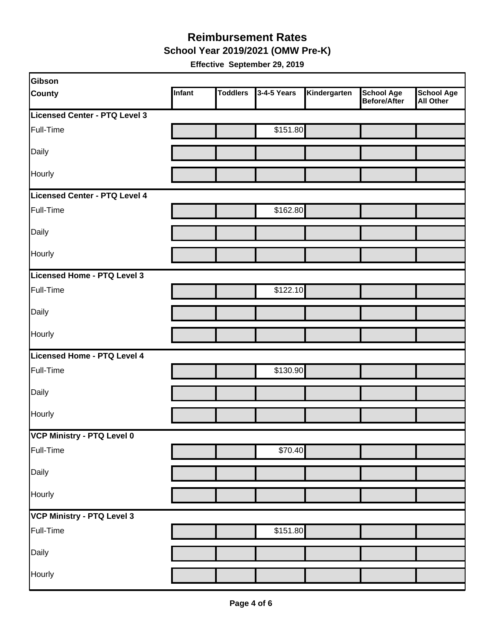**School Year 2019/2021 (OMW Pre-K)**

| Gibson                        |        |                 |             |              |                                   |                                       |
|-------------------------------|--------|-----------------|-------------|--------------|-----------------------------------|---------------------------------------|
| <b>County</b>                 | Infant | <b>Toddlers</b> | 3-4-5 Years | Kindergarten | <b>School Age</b><br>Before/After | <b>School Age</b><br><b>All Other</b> |
| Licensed Center - PTQ Level 3 |        |                 |             |              |                                   |                                       |
| Full-Time                     |        |                 | \$151.80    |              |                                   |                                       |
| Daily                         |        |                 |             |              |                                   |                                       |
| Hourly                        |        |                 |             |              |                                   |                                       |
| Licensed Center - PTQ Level 4 |        |                 |             |              |                                   |                                       |
| Full-Time                     |        |                 | \$162.80    |              |                                   |                                       |
| Daily                         |        |                 |             |              |                                   |                                       |
| Hourly                        |        |                 |             |              |                                   |                                       |
| Licensed Home - PTQ Level 3   |        |                 |             |              |                                   |                                       |
| Full-Time                     |        |                 | \$122.10    |              |                                   |                                       |
| Daily                         |        |                 |             |              |                                   |                                       |
| Hourly                        |        |                 |             |              |                                   |                                       |
| Licensed Home - PTQ Level 4   |        |                 |             |              |                                   |                                       |
| Full-Time                     |        |                 | \$130.90    |              |                                   |                                       |
| Daily                         |        |                 |             |              |                                   |                                       |
| Hourly                        |        |                 |             |              |                                   |                                       |
| VCP Ministry - PTQ Level 0    |        |                 |             |              |                                   |                                       |
| Full-Time                     |        |                 | \$70.40     |              |                                   |                                       |
| Daily                         |        |                 |             |              |                                   |                                       |
| Hourly                        |        |                 |             |              |                                   |                                       |
| VCP Ministry - PTQ Level 3    |        |                 |             |              |                                   |                                       |
| Full-Time                     |        |                 | \$151.80    |              |                                   |                                       |
| Daily                         |        |                 |             |              |                                   |                                       |
| Hourly                        |        |                 |             |              |                                   |                                       |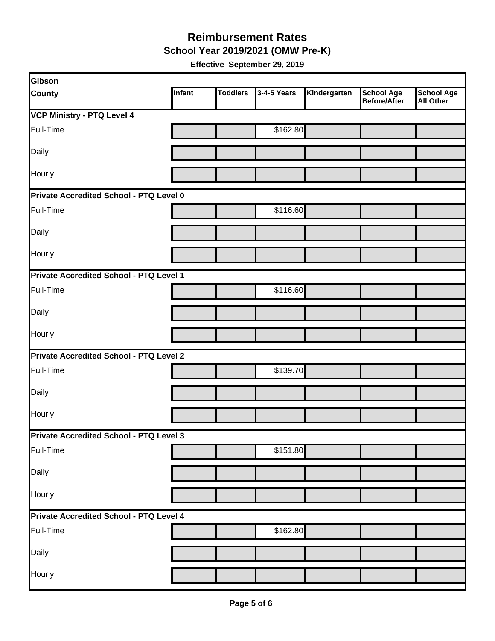**School Year 2019/2021 (OMW Pre-K)**

| Gibson                                  |               |                 |             |              |                                   |                                       |
|-----------------------------------------|---------------|-----------------|-------------|--------------|-----------------------------------|---------------------------------------|
| <b>County</b>                           | <b>Infant</b> | <b>Toddlers</b> | 3-4-5 Years | Kindergarten | <b>School Age</b><br>Before/After | <b>School Age</b><br><b>All Other</b> |
| <b>VCP Ministry - PTQ Level 4</b>       |               |                 |             |              |                                   |                                       |
| Full-Time                               |               |                 | \$162.80    |              |                                   |                                       |
| Daily                                   |               |                 |             |              |                                   |                                       |
| Hourly                                  |               |                 |             |              |                                   |                                       |
| Private Accredited School - PTQ Level 0 |               |                 |             |              |                                   |                                       |
| Full-Time                               |               |                 | \$116.60    |              |                                   |                                       |
| Daily                                   |               |                 |             |              |                                   |                                       |
| Hourly                                  |               |                 |             |              |                                   |                                       |
| Private Accredited School - PTQ Level 1 |               |                 |             |              |                                   |                                       |
| Full-Time                               |               |                 | \$116.60    |              |                                   |                                       |
| Daily                                   |               |                 |             |              |                                   |                                       |
| Hourly                                  |               |                 |             |              |                                   |                                       |
| Private Accredited School - PTQ Level 2 |               |                 |             |              |                                   |                                       |
| Full-Time                               |               |                 | \$139.70    |              |                                   |                                       |
| Daily                                   |               |                 |             |              |                                   |                                       |
| Hourly                                  |               |                 |             |              |                                   |                                       |
| Private Accredited School - PTQ Level 3 |               |                 |             |              |                                   |                                       |
| Full-Time                               |               |                 | \$151.80    |              |                                   |                                       |
| Daily                                   |               |                 |             |              |                                   |                                       |
| Hourly                                  |               |                 |             |              |                                   |                                       |
| Private Accredited School - PTQ Level 4 |               |                 |             |              |                                   |                                       |
| Full-Time                               |               |                 | \$162.80    |              |                                   |                                       |
| Daily                                   |               |                 |             |              |                                   |                                       |
| Hourly                                  |               |                 |             |              |                                   |                                       |